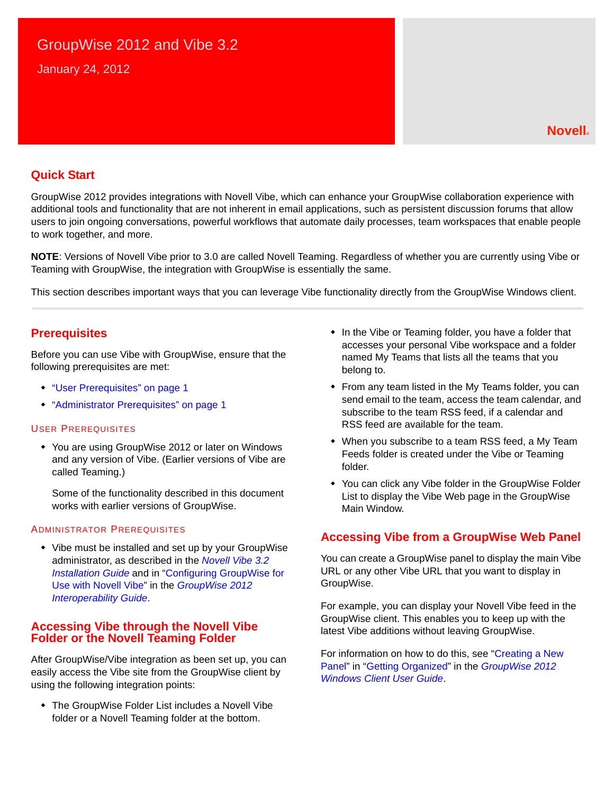### **Quick Start**

GroupWise 2012 provides integrations with Novell Vibe, which can enhance your GroupWise collaboration experience with additional tools and functionality that are not inherent in email applications, such as persistent discussion forums that allow users to join ongoing conversations, powerful workflows that automate daily processes, team workspaces that enable people to work together, and more.

**NOTE**: Versions of Novell Vibe prior to 3.0 are called Novell Teaming. Regardless of whether you are currently using Vibe or Teaming with GroupWise, the integration with GroupWise is essentially the same.

This section describes important ways that you can leverage Vibe functionality directly from the GroupWise Windows client.

### **Prerequisites**

Before you can use Vibe with GroupWise, ensure that the following prerequisites are met:

- ["User Prerequisites" on page 1](#page-0-0)
- ["Administrator Prerequisites" on page 1](#page-0-1)

#### <span id="page-0-0"></span>USER PREREQUISITES

• You are using GroupWise 2012 or later on Windows and any version of Vibe. (Earlier versions of Vibe are called Teaming.)

Some of the functionality described in this document works with earlier versions of GroupWise.

#### <span id="page-0-1"></span>ADMINISTRATOR PREREQUISITES

• Vibe must be installed and set up by your GroupWise administrator, as described in the *Novell Vibe 3.2 Installation Guide* and in "Configuring GroupWise for Use with Novell Vibe" in the *GroupWise 2012 Interoperability Guide*.

#### **Accessing Vibe through the Novell Vibe Folder or the Novell Teaming Folder**

After GroupWise/Vibe integration as been set up, you can easily access the Vibe site from the GroupWise client by using the following integration points:

 The GroupWise Folder List includes a Novell Vibe folder or a Novell Teaming folder at the bottom.

- In the Vibe or Teaming folder, you have a folder that accesses your personal Vibe workspace and a folder named My Teams that lists all the teams that you belong to.
- From any team listed in the My Teams folder, you can send email to the team, access the team calendar, and subscribe to the team RSS feed, if a calendar and RSS feed are available for the team.
- When you subscribe to a team RSS feed, a My Team Feeds folder is created under the Vibe or Teaming folder.
- You can click any Vibe folder in the GroupWise Folder List to display the Vibe Web page in the GroupWise Main Window.

### **Accessing Vibe from a GroupWise Web Panel**

You can create a GroupWise panel to display the main Vibe URL or any other Vibe URL that you want to display in GroupWise.

For example, you can display your Novell Vibe feed in the GroupWise client. This enables you to keep up with the latest Vibe additions without leaving GroupWise.

For information on how to do this, see "Creating a New Panel" in "Getting Organized" in the *GroupWise 2012 Windows Client User Guide*.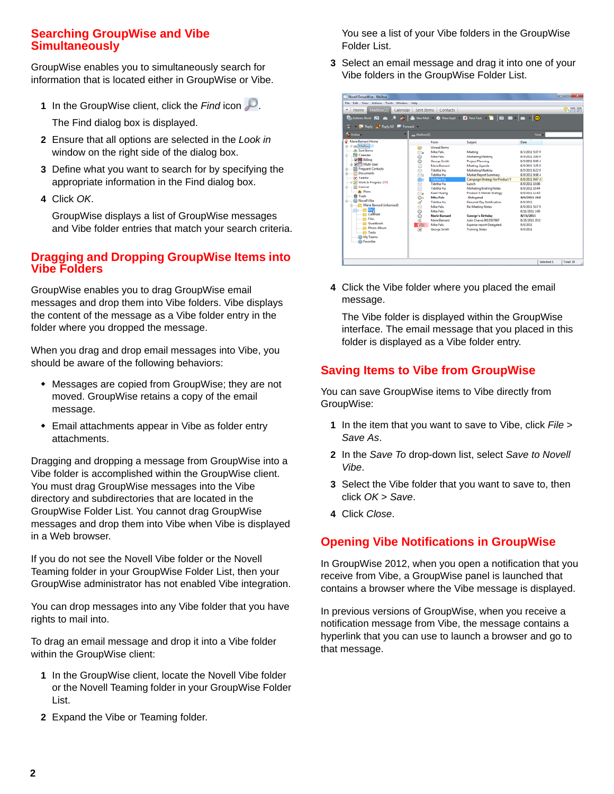### **Searching GroupWise and Vibe Simultaneously**

GroupWise enables you to simultaneously search for information that is located either in GroupWise or Vibe.

**1** In the GroupWise client, click the *Find* icon .

The Find dialog box is displayed.

- **2** Ensure that all options are selected in the *Look in* window on the right side of the dialog box.
- **3** Define what you want to search for by specifying the appropriate information in the Find dialog box.
- **4** Click *OK*.

GroupWise displays a list of GroupWise messages and Vibe folder entries that match your search criteria.

### **Dragging and Dropping GroupWise Items into Vibe Folders**

GroupWise enables you to drag GroupWise email messages and drop them into Vibe folders. Vibe displays the content of the message as a Vibe folder entry in the folder where you dropped the message.

When you drag and drop email messages into Vibe, you should be aware of the following behaviors:

- Messages are copied from GroupWise; they are not moved. GroupWise retains a copy of the email message.
- Email attachments appear in Vibe as folder entry attachments.

Dragging and dropping a message from GroupWise into a Vibe folder is accomplished within the GroupWise client. You must drag GroupWise messages into the Vibe directory and subdirectories that are located in the GroupWise Folder List. You cannot drag GroupWise messages and drop them into Vibe when Vibe is displayed in a Web browser.

If you do not see the Novell Vibe folder or the Novell Teaming folder in your GroupWise Folder List, then your GroupWise administrator has not enabled Vibe integration.

You can drop messages into any Vibe folder that you have rights to mail into.

To drag an email message and drop it into a Vibe folder within the GroupWise client:

- **1** In the GroupWise client, locate the Novell Vibe folder or the Novell Teaming folder in your GroupWise Folder List.
- **2** Expand the Vibe or Teaming folder.

You see a list of your Vibe folders in the GroupWise Folder List.

**3** Select an email message and drag it into one of your Vibe folders in the GroupWise Folder List.

| - Novel GroupWise - Mailbox                                                                                                                                                                                                                                                                                                                                                                                                                             |                                                                                                                                                                                                                                                                                                                                                                                                                               |                                                                                                                                                                                                                                                                                                                                                                                                                                           |                                                                                                                                                                                                                                                                                                                           | <b>ROBERT COMPANY</b> |
|---------------------------------------------------------------------------------------------------------------------------------------------------------------------------------------------------------------------------------------------------------------------------------------------------------------------------------------------------------------------------------------------------------------------------------------------------------|-------------------------------------------------------------------------------------------------------------------------------------------------------------------------------------------------------------------------------------------------------------------------------------------------------------------------------------------------------------------------------------------------------------------------------|-------------------------------------------------------------------------------------------------------------------------------------------------------------------------------------------------------------------------------------------------------------------------------------------------------------------------------------------------------------------------------------------------------------------------------------------|---------------------------------------------------------------------------------------------------------------------------------------------------------------------------------------------------------------------------------------------------------------------------------------------------------------------------|-----------------------|
| Edit View Actions Tools Window Help<br>File:                                                                                                                                                                                                                                                                                                                                                                                                            |                                                                                                                                                                                                                                                                                                                                                                                                                               |                                                                                                                                                                                                                                                                                                                                                                                                                                           |                                                                                                                                                                                                                                                                                                                           |                       |
| Home Mailbox(2)<br>٠                                                                                                                                                                                                                                                                                                                                                                                                                                    | Calendar Sent Items Contacts                                                                                                                                                                                                                                                                                                                                                                                                  |                                                                                                                                                                                                                                                                                                                                                                                                                                           |                                                                                                                                                                                                                                                                                                                           | 介層層                   |
| <b>FO</b> Reply 2 Reply All <b>BP</b> Forward                                                                                                                                                                                                                                                                                                                                                                                                           |                                                                                                                                                                                                                                                                                                                                                                                                                               | Address Book 图画产品 & New Mail O New Appt 图 New Task 窗画图画 画 O                                                                                                                                                                                                                                                                                                                                                                               |                                                                                                                                                                                                                                                                                                                           |                       |
| <b>Coline</b>                                                                                                                                                                                                                                                                                                                                                                                                                                           | m Mailbox[2]                                                                                                                                                                                                                                                                                                                                                                                                                  |                                                                                                                                                                                                                                                                                                                                                                                                                                           | Find:                                                                                                                                                                                                                                                                                                                     |                       |
| Marie Barnard Home<br>a - ch mm Mailbox [2]<br><b>Q.</b> Sent Items<br><b>NI Calendar</b><br><b>MRI</b> Billing<br><b>IRI Multi-User</b><br>Frequent Contacts<br>Documents<br><b>Z Taskfist</b><br>Work In Progress [15]<br>Cabinet<br><b>A</b> <sup>Dlans</sup><br>Trash<br>Novell Vibe<br><b>Eth Marie Barnard (mbarnard)</b><br>Blog<br>Cafendar<br>Files<br>Guestbook<br>Photo Album<br><b>En Tasks</b><br><b>B</b> My Teams<br><b>OD</b> Favorites | Fenem<br><b>Lloceart Berns</b><br>PD.<br>Mike Palu<br>o.<br>Mike Palu<br>00<br><b>George Smith</b><br><b>Marie Ramard</b><br>ō<br>Tabitha Hu<br>O<br>Tahitha Hu<br>ŵ١<br><b>Tabitha Hu</b><br>ē<br>Tabitha Hu<br>Tabitha Hu<br>ō.<br>Kuan Huang<br>Ø٩<br><b>Mike Palu</b><br>0000<br>Tabitha Hu<br>Mike Palu<br>Mike Palu<br><b>Marie Barnard</b><br>ē<br><b>Marie Barnard</b><br>Mi<br>Mike Palu<br>George Smith<br><b>M</b> | Subject<br>Meeting<br><b>Marketing Meeting</b><br><b>Project Planning</b><br>Meeting Agenda<br><b>Marketing Meeting</b><br>Market Report Summary<br>Campaign Strategy for Product Y<br>Lunch<br>Marketing Briefing Notes<br>Product X Market Strategy<br>-Delegated<br>Personal Day Notification<br><b>Re: Meeting Notes</b><br><b>George's Birthday</b><br>Julio Chavez 8015557867<br>Expense report-Delegated<br><b>Training Slides</b> | Date<br>8/3/2011 5:37 P<br>8/4/2011 3:00 P<br>8/5/2011 9:00 Å<br>8/5/2011 3:25 P<br>8/5/2011 6:22 P<br>8/8/2011 9:38 4<br>8/8/2011 9:47 #<br>8/8/2011 10:06<br>8/8/2011 10:44<br>8/8/2011 11:43<br>8/9/2011 10:0<br>8/9/2011<br>8/9/2011 5:17 P<br>8/11/2011 1:00<br>8/15/2011<br>8/25/2011 10:1!<br>9/9/2011<br>9/9/2011 |                       |
|                                                                                                                                                                                                                                                                                                                                                                                                                                                         |                                                                                                                                                                                                                                                                                                                                                                                                                               |                                                                                                                                                                                                                                                                                                                                                                                                                                           | Selected: 1                                                                                                                                                                                                                                                                                                               | Total: 19             |

**4** Click the Vibe folder where you placed the email message.

The Vibe folder is displayed within the GroupWise interface. The email message that you placed in this folder is displayed as a Vibe folder entry.

## **Saving Items to Vibe from GroupWise**

You can save GroupWise items to Vibe directly from GroupWise:

- **1** In the item that you want to save to Vibe, click *File* > *Save As*.
- **2** In the *Save To* drop-down list, select *Save to Novell Vibe*.
- **3** Select the Vibe folder that you want to save to, then click *OK* > *Save*.
- **4** Click *Close*.

# **Opening Vibe Notifications in GroupWise**

In GroupWise 2012, when you open a notification that you receive from Vibe, a GroupWise panel is launched that contains a browser where the Vibe message is displayed.

In previous versions of GroupWise, when you receive a notification message from Vibe, the message contains a hyperlink that you can use to launch a browser and go to that message.